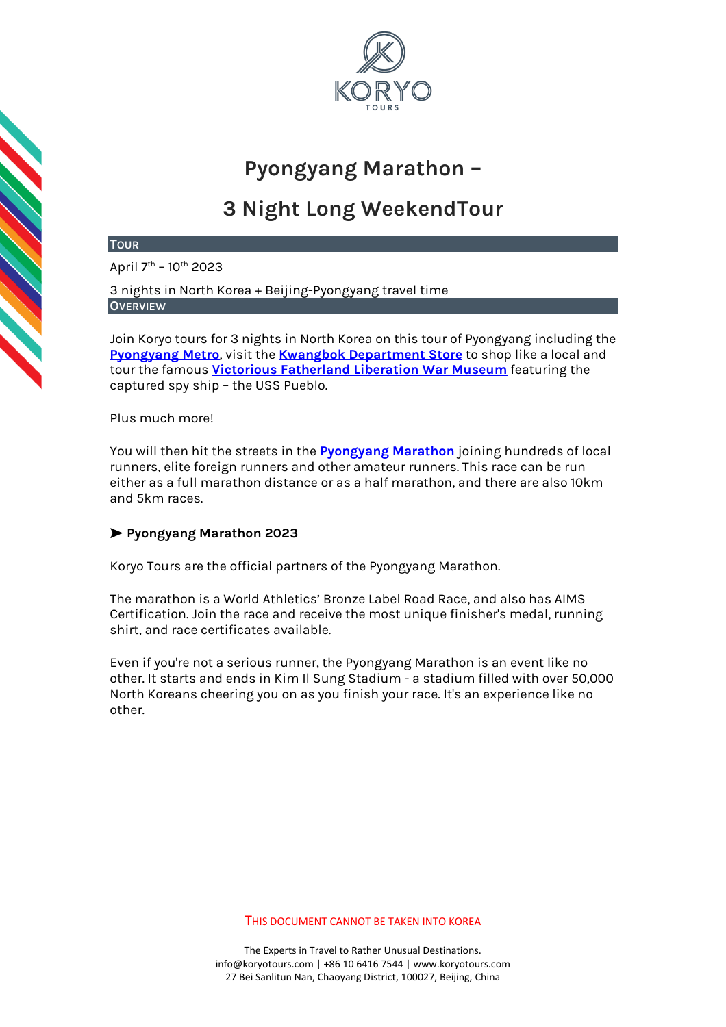

# **Pyongyang Marathon –**

# **3 Night Long WeekendTour**

# **TOUR**

April 7<sup>th</sup> – 10<sup>th</sup> 2023

3 nights in North Korea + Beijing-Pyongyang travel time **OVERVIEW**

Join Koryo tours for 3 nights in North Korea on this tour of Pyongyang including the **[Pyongyang Metro](https://koryogroup.com/travel-guide/north-korea-guide-the-pyongyang-metro)**, visit the **[Kwangbok Department Store](https://koryogroup.com/travel-guide/north-korea-guide-kwangbok-department-store-supermarket)** to shop like a local and tour the famous **[Victorious Fatherland Liberation War Museum](https://koryogroup.com/travel-guide/north-korea-guide-victorious-fatherland-liberation-war-museum)** featuring the captured spy ship – the USS Pueblo.

# Plus much more!

You will then hit the streets in the **[Pyongyang Marathon](https://koryogroup.com/travel-guide/north-korea-travel-guide-the-pyongyang-marathon)** joining hundreds of local runners, elite foreign runners and other amateur runners. This race can be run either as a full marathon distance or as a half marathon, and there are also 10km and 5km races.

# ➤ **Pyongyang Marathon 2023**

Koryo Tours are the official partners of the Pyongyang Marathon.

The marathon is a World Athletics' Bronze Label Road Race, and also has AIMS Certification. Join the race and receive the most unique finisher's medal, running shirt, and race certificates available.

Even if you're not a serious runner, the Pyongyang Marathon is an event like no other. It starts and ends in Kim Il Sung Stadium - a stadium filled with over 50,000 North Koreans cheering you on as you finish your race. It's an experience like no other.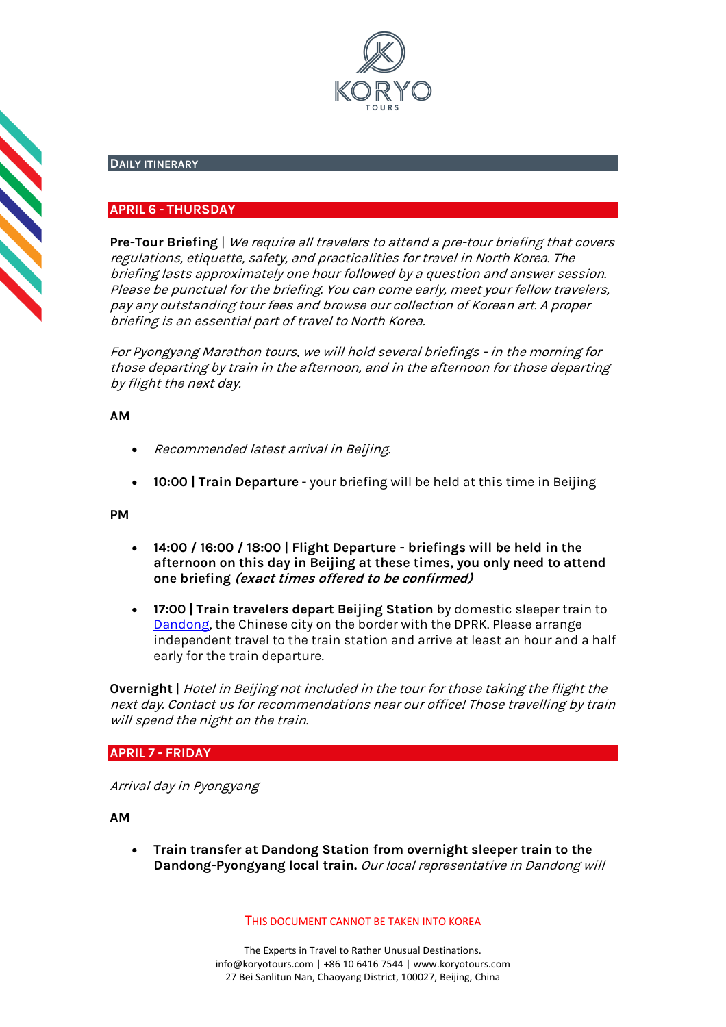

# **DAILY ITINERARY**

# **APRIL 6 - THURSDAY**

**Pre-Tour Briefing** | We require all travelers to attend a pre-tour briefing that covers regulations, etiquette, safety, and practicalities for travel in North Korea. The briefing lasts approximately one hour followed by a question and answer session. Please be punctual for the briefing. You can come early, meet your fellow travelers, pay any outstanding tour fees and browse our collection of Korean art. A proper briefing is an essential part of travel to North Korea.

For Pyongyang Marathon tours, we will hold several briefings - in the morning for those departing by train in the afternoon, and in the afternoon for those departing by flight the next day.

# **AM**

**CONTRACT** 

- Recommended latest arrival in Beijing.
- **10:00 | Train Departure** your briefing will be held at this time in Beijing

**PM**

- **14:00 / 16:00 / 18:00 | Flight Departure - briefings will be held in the afternoon on this day in Beijing at these times, you only need to attend one briefing (exact times offered to be confirmed)**
- **17:00 | Train travelers depart Beijing Station** by domestic sleeper train to [Dandong,](https://koryogroup.com/travel-guide/north-korea-guide-victorious-fatherland-liberation-war-museum) the Chinese city on the border with the DPRK. Please arrange independent travel to the train station and arrive at least an hour and a half early for the train departure.

**Overnight** | Hotel in Beijing not included in the tour for those taking the flight the next day. Contact us for recommendations near our office! Those travelling by train will spend the night on the train.

# **APRIL 7 - FRIDAY**

Arrival day in Pyongyang

**AM**

• **Train transfer at Dandong Station from overnight sleeper train to the Dandong-Pyongyang local train.** Our local representative in Dandong will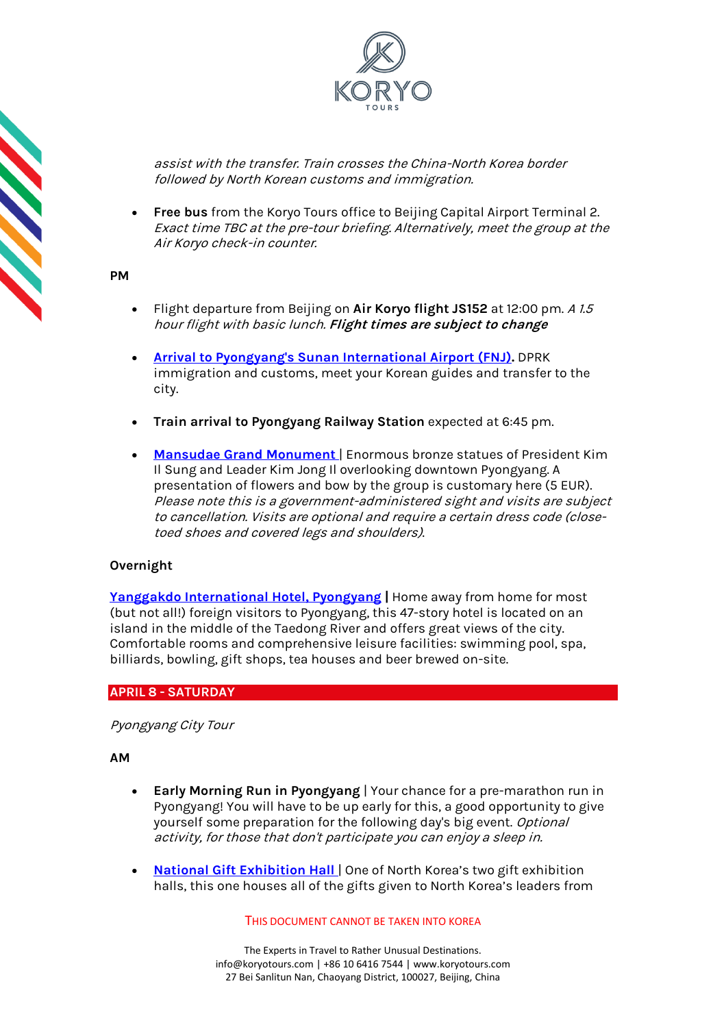

assist with the transfer. Train crosses the China-North Korea border followed by North Korean customs and immigration.

• **Free bus** from the Koryo Tours office to Beijing Capital Airport Terminal 2. Exact time TBC at the pre-tour briefing. Alternatively, meet the group at the Air Koryo check-in counter.

#### **PM**

- Flight departure from Beijing on **Air Koryo flight JS152** at 12:00 pm. A 1.5 hour flight with basic lunch. **Flight times are subject to change**
- **[Arrival to Pyongyang's Sunan International Airport \(FNJ\).](https://koryogroup.com/travel-guide/pyongyang-airport-north-korea-travel-guide-f98cfdb4-ab0f-419c-90a3-93b18280a76b)** DPRK immigration and customs, meet your Korean guides and transfer to the city.
- **Train arrival to Pyongyang Railway Station** expected at 6:45 pm.
- **Mansudae Grand Monument** | Enormous bronze statues of President Kim Il Sung and Leader Kim Jong Il overlooking downtown Pyongyang. A presentation of flowers and bow by the group is customary here (5 EUR). Please note this is a government-administered sight and visits are subject to cancellation. Visits are optional and require a certain dress code (closetoed shoes and covered legs and shoulders).

# **Overnight**

**[Yanggakdo International Hotel](https://koryogroup.com/travel-guide/yanggakdo-hotel-north-korea-travel-guide)[, Pyongyang](http://koryogroup.com/travel-guide/yanggakdo-hotel-north-korea-travel-guide) |** Home away from home for most (but not all!) foreign visitors to Pyongyang, this 47-story hotel is located on an island in the middle of the Taedong River and offers great views of the city. Comfortable rooms and comprehensive leisure facilities: swimming pool, spa, billiards, bowling, gift shops, tea houses and beer brewed on-site.

# **APRIL 8 - SATURDAY**

Pyongyang City Tour

# **AM**

- **Early Morning Run in Pyongyang** | Your chance for a pre-marathon run in Pyongyang! You will have to be up early for this, a good opportunity to give yourself some preparation for the following day's big event. Optional activity, for those that don't participate you can enjoy a sleep in.
- **[National Gift Exhibition Hall](https://koryogroup.com/travel-guide/national-gift-exhibition-house-north-korea-travel-guide)** One of North Korea's two gift exhibition halls, this one houses all of the gifts given to North Korea's leaders from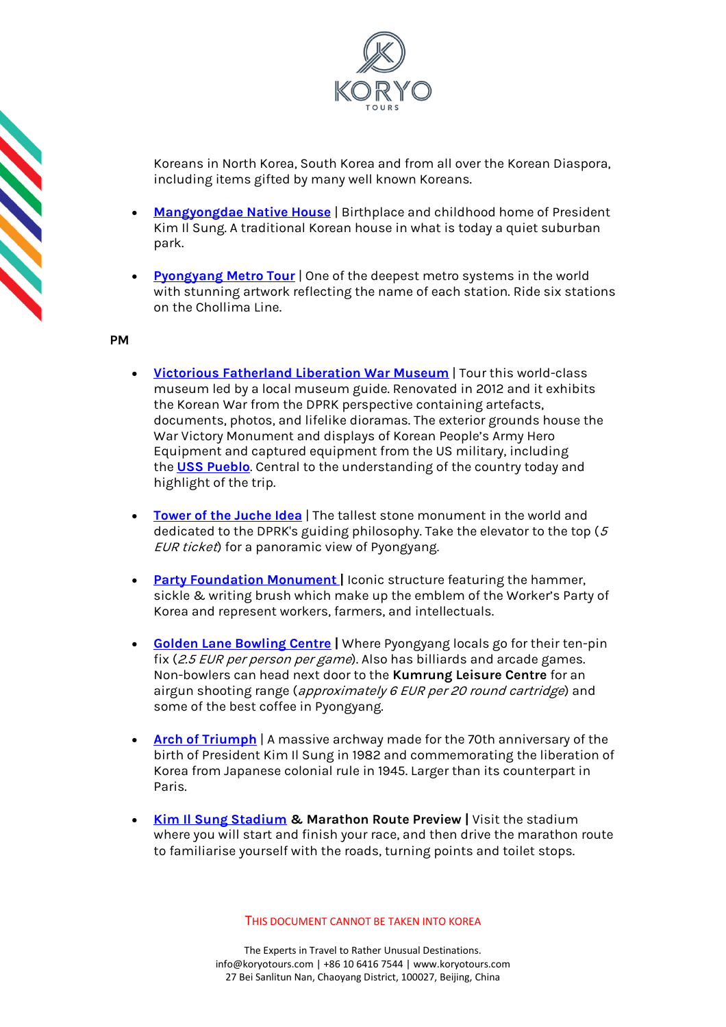

Koreans in North Korea, South Korea and from all over the Korean Diaspora, including items gifted by many well known Koreans.

- **[Mangyongdae Native House](https://koryogroup.com/travel-guide/mangyongdae-pyongyang-north-korea-travel-guide)** | Birthplace and childhood home of President Kim Il Sung. A traditional Korean house in what is today a quiet suburban park.
- **[Pyongyang Metro Tour](https://koryogroup.com/travel-guide/north-korea-guide-the-pyongyang-metro)** | One of the deepest metro systems in the world with stunning artwork reflecting the name of each station. Ride six stations on the Chollima Line.

**PM**

- **[Victorious Fatherland Liberation War Museum](https://koryogroup.com/travel-guide/north-korea-guide-victorious-fatherland-liberation-war-museum)** | Tour this world-class museum led by a local museum guide. Renovated in 2012 and it exhibits the Korean War from the DPRK perspective containing artefacts, documents, photos, and lifelike dioramas. The exterior grounds house the War Victory Monument and displays of Korean People's Army Hero Equipment and captured equipment from the US military, including the **[USS Pueblo](https://koryogroup.com/travel-guide/uss-pueblo-north-korea-travel-guide)**. Central to the understanding of the country today and highlight of the trip.
- **[Tower of the Juche Idea](https://koryogroup.com/travel-guide/the-tower-of-the-juche-idea)** | The tallest stone monument in the world and dedicated to the DPRK's guiding philosophy. Take the elevator to the top  $(5$ EUR ticket) for a panoramic view of Pyongyang.
- **[Party Foundation Monument](https://koryogroup.com/travel-guide/the-tower-of-the-juche-idea)** [|](https://koryogroup.com/travel-guide/the-tower-of-the-juche-idea) Iconic structure featuring the hammer, sickle & writing brush which make up the emblem of the Worker's Party of Korea and represent workers, farmers, and intellectuals.
- **[Golden Lane Bowling Centre](https://koryogroup.com/travel-guide/north-korea-guide-victorious-fatherland-liberation-war-museum) |** Where Pyongyang locals go for their ten-pin fix (2.5 EUR per person per game). Also has billiards and arcade games. Non-bowlers can head next door to the **Kumrung Leisure Centre** for an airgun shooting range (approximately 6 EUR per 20 round cartridge) and some of the best coffee in Pyongyang.
- **[Arch of Triumph](https://koryogroup.com/travel-guide/north-korea-guide-arch-of-triumph)** | A massive archway made for the 70th anniversary of the birth of President Kim Il Sung in 1982 and commemorating the liberation of Korea from Japanese colonial rule in 1945. Larger than its counterpart in Paris.
- **[Kim Il Sung Stadium](https://koryogroup.com/travel-guide/kim-il-sung-stadium-north-korea-travel-guide) & Marathon Route Preview |** Visit the stadium where you will start and finish your race, and then drive the marathon route to familiarise yourself with the roads, turning points and toilet stops.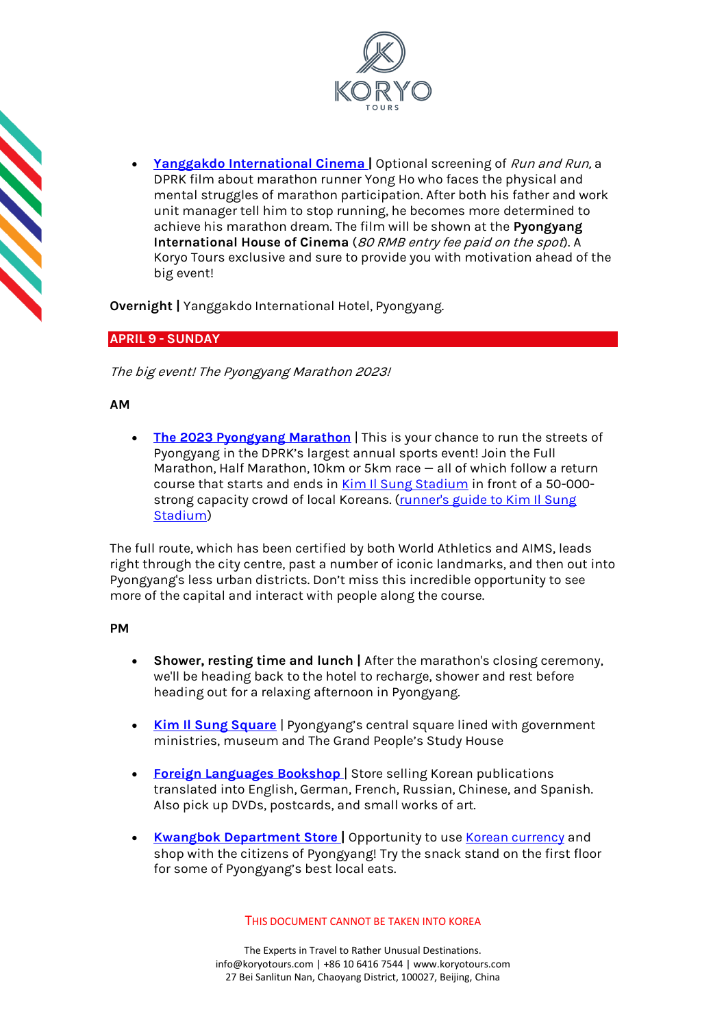



• **[Yanggakdo International Cinema](https://koryogroup.com/travel-guide/yanggakdo-international-cinema-north-korea-travel-guide) |** Optional screening of Run and Run, a DPRK film about marathon runner Yong Ho who faces the physical and mental struggles of marathon participation. After both his father and work unit manager tell him to stop running, he becomes more determined to achieve his marathon dream. The film will be shown at the **Pyongyang International House of Cinema** (80 RMB entry fee paid on the spot). A Koryo Tours exclusive and sure to provide you with motivation ahead of the big event!

**Overnight |** Yanggakdo International Hotel, Pyongyang.

# **APRIL 9 - SUNDAY**

The big event! The Pyongyang Marathon 2023!

# **AM**

• **[The 2023 Pyongyang Marathon](https://koryogroup.com/travel-guide/north-korea-travel-guide-the-pyongyang-marathon)** | This is your chance to run the streets of Pyongyang in the DPRK's largest annual sports event! Join the Full Marathon, Half Marathon, 10km or 5km race — all of which follow a return course that starts and ends in [Kim Il Sung Stadium](https://koryogroup.com/travel-guide/kim-il-sung-stadium-north-korea-travel-guide) in front of a 50-000strong capacity crowd of local Koreans. (runner's guide to Kim Il Sung [Stadium\)](https://koryogroup.com/blog/a-pyongyang-marathon-runner-s-guide-kim-il-sung-stadium)

The full route, which has been certified by both World Athletics and AIMS, leads right through the city centre, past a number of iconic landmarks, and then out into Pyongyang's less urban districts. Don't miss this incredible opportunity to see more of the capital and interact with people along the course.

# **PM**

- **Shower, resting time and lunch |** After the marathon's closing ceremony, we'll be heading back to the hotel to recharge, shower and rest before heading out for a relaxing afternoon in Pyongyang.
- **[Kim Il Sung Square](https://koryogroup.com/travel-guide/north-korea-guide-kim-il-sung-square)** | Pyongyang's central square lined with government ministries, museum and The Grand People's Study House
- **[Foreign Languages Bookshop](https://koryogroup.com/travel-guide/foreign-languages-bookshop-north-korea-travel-guide)** | Store selling Korean publications translated into English, German, French, Russian, Chinese, and Spanish. Also pick up DVDs, postcards, and small works of art.
- **[Kwangbok Department Store](https://koryogroup.com/travel-guide/north-korea-guide-kwangbok-department-store-supermarket)** | Opportunity to us[e Korean currency](https://koryogroup.com/travel-guide/where-can-i-get-north-korean-currency-north-korean-money-faqs) and shop with the citizens of Pyongyang! Try the snack stand on the first floor for some of Pyongyang's best local eats.